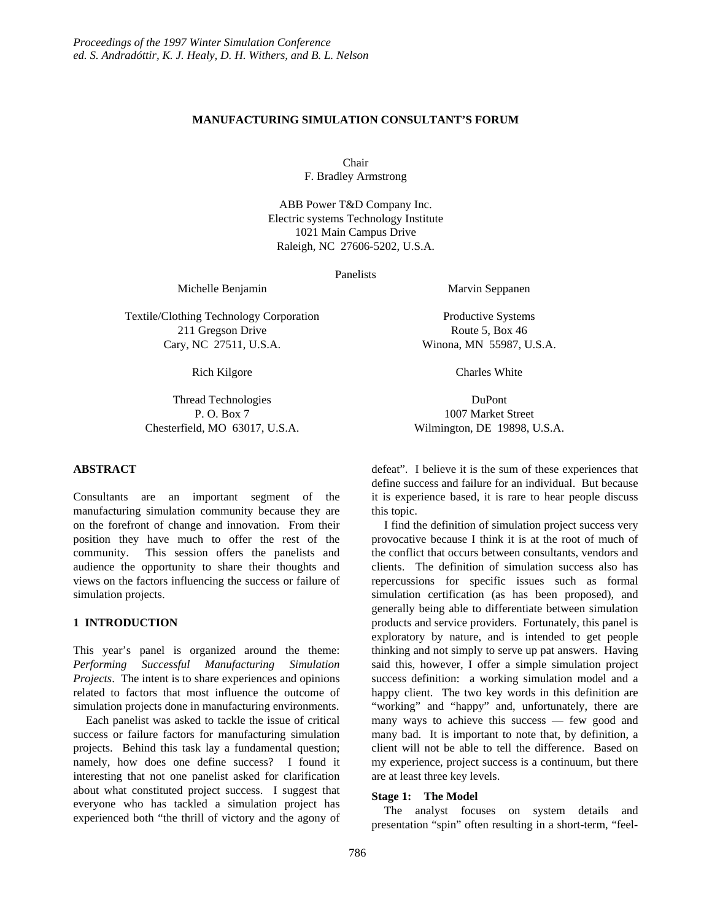# **MANUFACTURING SIMULATION CONSULTANT'S FORUM**

Chair

F. Bradley Armstrong

ABB Power T&D Company Inc. Electric systems Technology Institute 1021 Main Campus Drive Raleigh, NC 27606-5202, U.S.A.

Panelists

Michelle Benjamin

Textile/Clothing Technology Corporation 211 Gregson Drive Cary, NC 27511, U.S.A.

Rich Kilgore

Thread Technologies P. O. Box 7 Chesterfield, MO 63017, U.S.A.

## **ABSTRACT**

Consultants are an important segment of the manufacturing simulation community because they are on the forefront of change and innovation. From their position they have much to offer the rest of the community. This session offers the panelists and audience the opportunity to share their thoughts and views on the factors influencing the success or failure of simulation projects.

#### **1 INTRODUCTION**

This year's panel is organized around the theme: *Performing Successful Manufacturing Simulation Projects*. The intent is to share experiences and opinions related to factors that most influence the outcome of simulation projects done in manufacturing environments.

Each panelist was asked to tackle the issue of critical success or failure factors for manufacturing simulation projects. Behind this task lay a fundamental question; namely, how does one define success? I found it interesting that not one panelist asked for clarification about what constituted project success. I suggest that everyone who has tackled a simulation project has experienced both "the thrill of victory and the agony of Marvin Seppanen

Productive Systems Route 5, Box 46 Winona, MN 55987, U.S.A.

Charles White

DuPont 1007 Market Street Wilmington, DE 19898, U.S.A.

defeat". I believe it is the sum of these experiences that define success and failure for an individual. But because it is experience based, it is rare to hear people discuss this topic.

I find the definition of simulation project success very provocative because I think it is at the root of much of the conflict that occurs between consultants, vendors and clients. The definition of simulation success also has repercussions for specific issues such as formal simulation certification (as has been proposed), and generally being able to differentiate between simulation products and service providers. Fortunately, this panel is exploratory by nature, and is intended to get people thinking and not simply to serve up pat answers. Having said this, however, I offer a simple simulation project success definition: a working simulation model and a happy client. The two key words in this definition are "working" and "happy" and, unfortunately, there are many ways to achieve this success — few good and many bad. It is important to note that, by definition, a client will not be able to tell the difference. Based on my experience, project success is a continuum, but there are at least three key levels.

#### **Stage 1: The Model**

The analyst focuses on system details and presentation "spin" often resulting in a short-term, "feel-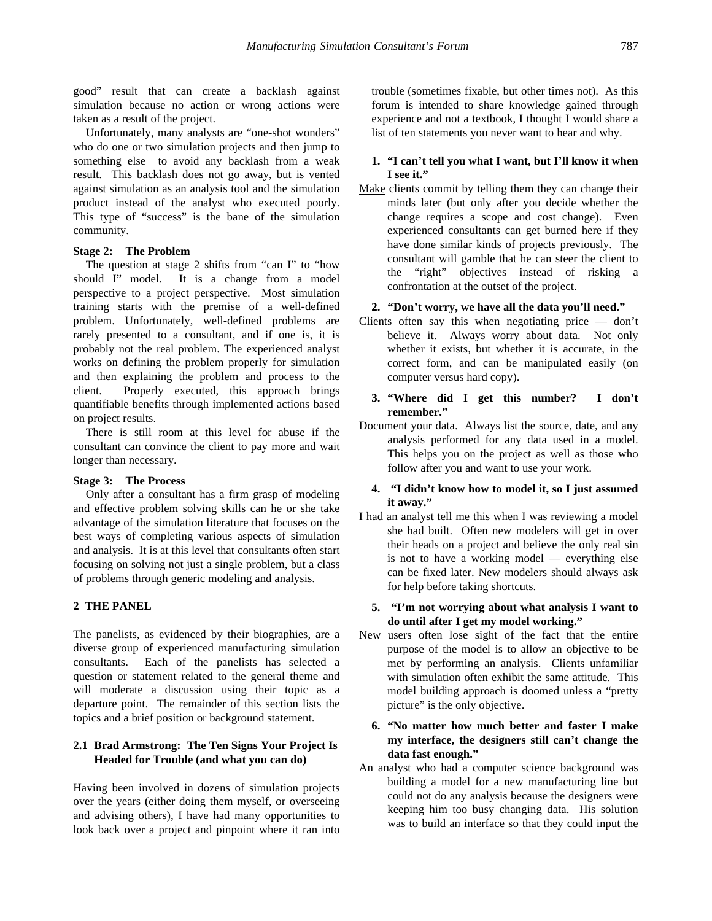good" result that can create a backlash against simulation because no action or wrong actions were taken as a result of the project.

Unfortunately, many analysts are "one-shot wonders" who do one or two simulation projects and then jump to something else to avoid any backlash from a weak result. This backlash does not go away, but is vented against simulation as an analysis tool and the simulation product instead of the analyst who executed poorly. This type of "success" is the bane of the simulation community.

### **Stage 2: The Problem**

The question at stage 2 shifts from "can I" to "how should I" model. It is a change from a model perspective to a project perspective. Most simulation training starts with the premise of a well-defined problem. Unfortunately, well-defined problems are rarely presented to a consultant, and if one is, it is probably not the real problem. The experienced analyst works on defining the problem properly for simulation and then explaining the problem and process to the client. Properly executed, this approach brings quantifiable benefits through implemented actions based on project results.

There is still room at this level for abuse if the consultant can convince the client to pay more and wait longer than necessary.

#### **Stage 3: The Process**

Only after a consultant has a firm grasp of modeling and effective problem solving skills can he or she take advantage of the simulation literature that focuses on the best ways of completing various aspects of simulation and analysis. It is at this level that consultants often start focusing on solving not just a single problem, but a class of problems through generic modeling and analysis.

# **2 THE PANEL**

The panelists, as evidenced by their biographies, are a diverse group of experienced manufacturing simulation consultants. Each of the panelists has selected a question or statement related to the general theme and will moderate a discussion using their topic as a departure point. The remainder of this section lists the topics and a brief position or background statement.

## **2.1 Brad Armstrong: The Ten Signs Your Project Is Headed for Trouble (and what you can do)**

Having been involved in dozens of simulation projects over the years (either doing them myself, or overseeing and advising others), I have had many opportunities to look back over a project and pinpoint where it ran into

trouble (sometimes fixable, but other times not). As this forum is intended to share knowledge gained through experience and not a textbook, I thought I would share a list of ten statements you never want to hear and why.

# **1. "I can't tell you what I want, but I'll know it when I see it."**

Make clients commit by telling them they can change their minds later (but only after you decide whether the change requires a scope and cost change). Even experienced consultants can get burned here if they have done similar kinds of projects previously. The consultant will gamble that he can steer the client to the "right" objectives instead of risking a confrontation at the outset of the project.

#### **2. "Don't worry, we have all the data you'll need."**

- Clients often say this when negotiating price don't believe it. Always worry about data. Not only whether it exists, but whether it is accurate, in the correct form, and can be manipulated easily (on computer versus hard copy).
	- **3. "Where did I get this number? I don't remember."**
- Document your data. Always list the source, date, and any analysis performed for any data used in a model. This helps you on the project as well as those who follow after you and want to use your work.

# **4. "I didn't know how to model it, so I just assumed it away."**

I had an analyst tell me this when I was reviewing a model she had built. Often new modelers will get in over their heads on a project and believe the only real sin is not to have a working model — everything else can be fixed later. New modelers should always ask for help before taking shortcuts.

# **5. "I'm not worrying about what analysis I want to do until after I get my model working."**

- New users often lose sight of the fact that the entire purpose of the model is to allow an objective to be met by performing an analysis. Clients unfamiliar with simulation often exhibit the same attitude. This model building approach is doomed unless a "pretty picture" is the only objective.
	- **6. "No matter how much better and faster I make my interface, the designers still can't change the data fast enough."**
- An analyst who had a computer science background was building a model for a new manufacturing line but could not do any analysis because the designers were keeping him too busy changing data. His solution was to build an interface so that they could input the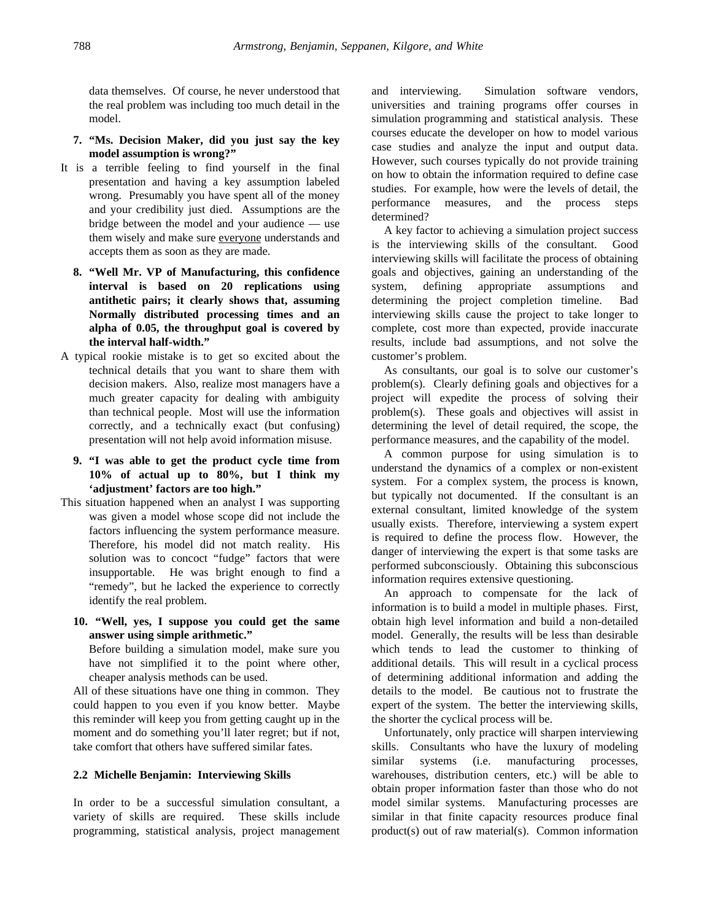data themselves. Of course, he never understood that the real problem was including too much detail in the model.

- **7. "Ms. Decision Maker, did you just say the key model assumption is wrong?"**
- It is a terrible feeling to find yourself in the final presentation and having a key assumption labeled wrong. Presumably you have spent all of the money and your credibility just died. Assumptions are the bridge between the model and your audience — use them wisely and make sure everyone understands and accepts them as soon as they are made.
	- **8. "Well Mr. VP of Manufacturing, this confidence interval is based on 20 replications using antithetic pairs; it clearly shows that, assuming Normally distributed processing times and an alpha of 0.05, the throughput goal is covered by the interval half-width."**
- A typical rookie mistake is to get so excited about the technical details that you want to share them with decision makers. Also, realize most managers have a much greater capacity for dealing with ambiguity than technical people. Most will use the information correctly, and a technically exact (but confusing) presentation will not help avoid information misuse.
	- **9. "I was able to get the product cycle time from 10% of actual up to 80%, but I think my 'adjustment' factors are too high."**
- This situation happened when an analyst I was supporting was given a model whose scope did not include the factors influencing the system performance measure. Therefore, his model did not match reality. His solution was to concoct "fudge" factors that were insupportable. He was bright enough to find a "remedy", but he lacked the experience to correctly identify the real problem.
	- **10. "Well, yes, I suppose you could get the same answer using simple arithmetic."**

Before building a simulation model, make sure you have not simplified it to the point where other, cheaper analysis methods can be used.

All of these situations have one thing in common. They could happen to you even if you know better. Maybe this reminder will keep you from getting caught up in the moment and do something you'll later regret; but if not, take comfort that others have suffered similar fates.

### **2.2 Michelle Benjamin: Interviewing Skills**

In order to be a successful simulation consultant, a variety of skills are required. These skills include programming, statistical analysis, project management and interviewing. Simulation software vendors, universities and training programs offer courses in simulation programming and statistical analysis. These courses educate the developer on how to model various case studies and analyze the input and output data. However, such courses typically do not provide training on how to obtain the information required to define case studies. For example, how were the levels of detail, the performance measures, and the process steps determined?

A key factor to achieving a simulation project success is the interviewing skills of the consultant. Good interviewing skills will facilitate the process of obtaining goals and objectives, gaining an understanding of the system, defining appropriate assumptions and determining the project completion timeline. Bad interviewing skills cause the project to take longer to complete, cost more than expected, provide inaccurate results, include bad assumptions, and not solve the customer's problem.

As consultants, our goal is to solve our customer's problem(s). Clearly defining goals and objectives for a project will expedite the process of solving their problem(s). These goals and objectives will assist in determining the level of detail required, the scope, the performance measures, and the capability of the model.

A common purpose for using simulation is to understand the dynamics of a complex or non-existent system. For a complex system, the process is known, but typically not documented. If the consultant is an external consultant, limited knowledge of the system usually exists. Therefore, interviewing a system expert is required to define the process flow. However, the danger of interviewing the expert is that some tasks are performed subconsciously. Obtaining this subconscious information requires extensive questioning.

An approach to compensate for the lack of information is to build a model in multiple phases. First, obtain high level information and build a non-detailed model. Generally, the results will be less than desirable which tends to lead the customer to thinking of additional details. This will result in a cyclical process of determining additional information and adding the details to the model. Be cautious not to frustrate the expert of the system. The better the interviewing skills, the shorter the cyclical process will be.

Unfortunately, only practice will sharpen interviewing skills. Consultants who have the luxury of modeling similar systems (i.e. manufacturing processes, warehouses, distribution centers, etc.) will be able to obtain proper information faster than those who do not model similar systems. Manufacturing processes are similar in that finite capacity resources produce final product(s) out of raw material(s). Common information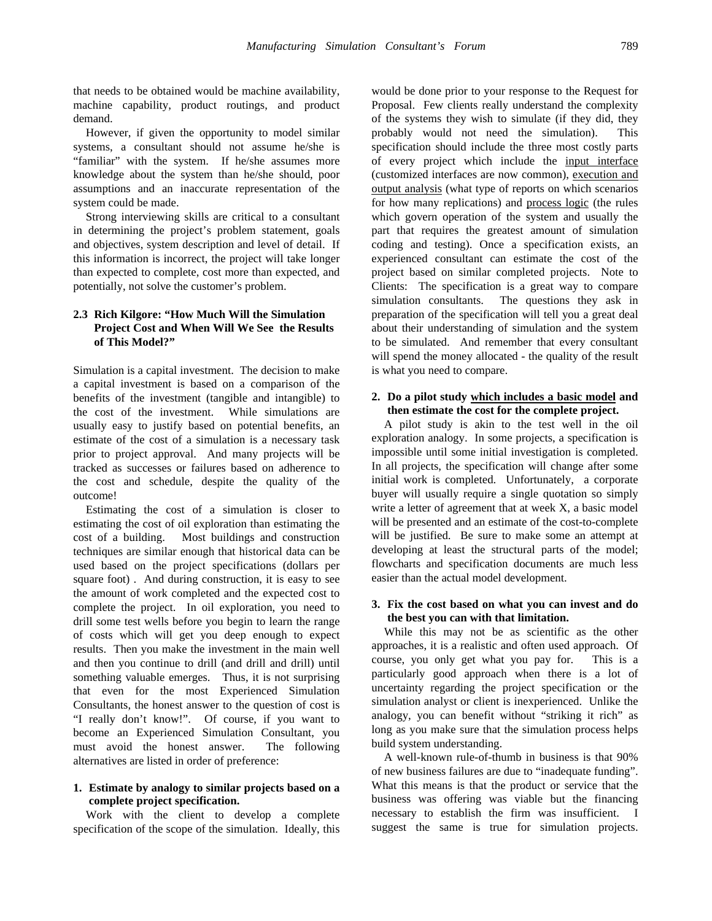that needs to be obtained would be machine availability, machine capability, product routings, and product demand.

However, if given the opportunity to model similar systems, a consultant should not assume he/she is "familiar" with the system. If he/she assumes more knowledge about the system than he/she should, poor assumptions and an inaccurate representation of the system could be made.

Strong interviewing skills are critical to a consultant in determining the project's problem statement, goals and objectives, system description and level of detail. If this information is incorrect, the project will take longer than expected to complete, cost more than expected, and potentially, not solve the customer's problem.

# **2.3 Rich Kilgore: "How Much Will the Simulation Project Cost and When Will We See the Results of This Model?"**

Simulation is a capital investment. The decision to make a capital investment is based on a comparison of the benefits of the investment (tangible and intangible) to the cost of the investment. While simulations are usually easy to justify based on potential benefits, an estimate of the cost of a simulation is a necessary task prior to project approval. And many projects will be tracked as successes or failures based on adherence to the cost and schedule, despite the quality of the outcome!

Estimating the cost of a simulation is closer to estimating the cost of oil exploration than estimating the cost of a building. Most buildings and construction techniques are similar enough that historical data can be used based on the project specifications (dollars per square foot) . And during construction, it is easy to see the amount of work completed and the expected cost to complete the project. In oil exploration, you need to drill some test wells before you begin to learn the range of costs which will get you deep enough to expect results. Then you make the investment in the main well and then you continue to drill (and drill and drill) until something valuable emerges. Thus, it is not surprising that even for the most Experienced Simulation Consultants, the honest answer to the question of cost is "I really don't know!". Of course, if you want to become an Experienced Simulation Consultant, you must avoid the honest answer. The following alternatives are listed in order of preference:

### **1. Estimate by analogy to similar projects based on a complete project specification.**

Work with the client to develop a complete specification of the scope of the simulation. Ideally, this

would be done prior to your response to the Request for Proposal. Few clients really understand the complexity of the systems they wish to simulate (if they did, they probably would not need the simulation). This specification should include the three most costly parts of every project which include the input interface (customized interfaces are now common), execution and output analysis (what type of reports on which scenarios for how many replications) and process logic (the rules which govern operation of the system and usually the part that requires the greatest amount of simulation coding and testing). Once a specification exists, an experienced consultant can estimate the cost of the project based on similar completed projects. Note to Clients: The specification is a great way to compare simulation consultants. The questions they ask in preparation of the specification will tell you a great deal about their understanding of simulation and the system to be simulated. And remember that every consultant will spend the money allocated - the quality of the result is what you need to compare.

### **2. Do a pilot study which includes a basic model and then estimate the cost for the complete project.**

A pilot study is akin to the test well in the oil exploration analogy. In some projects, a specification is impossible until some initial investigation is completed. In all projects, the specification will change after some initial work is completed. Unfortunately, a corporate buyer will usually require a single quotation so simply write a letter of agreement that at week X, a basic model will be presented and an estimate of the cost-to-complete will be justified. Be sure to make some an attempt at developing at least the structural parts of the model; flowcharts and specification documents are much less easier than the actual model development.

### **3. Fix the cost based on what you can invest and do the best you can with that limitation.**

While this may not be as scientific as the other approaches, it is a realistic and often used approach. Of course, you only get what you pay for. This is a particularly good approach when there is a lot of uncertainty regarding the project specification or the simulation analyst or client is inexperienced. Unlike the analogy, you can benefit without "striking it rich" as long as you make sure that the simulation process helps build system understanding.

A well-known rule-of-thumb in business is that 90% of new business failures are due to "inadequate funding". What this means is that the product or service that the business was offering was viable but the financing necessary to establish the firm was insufficient. I suggest the same is true for simulation projects.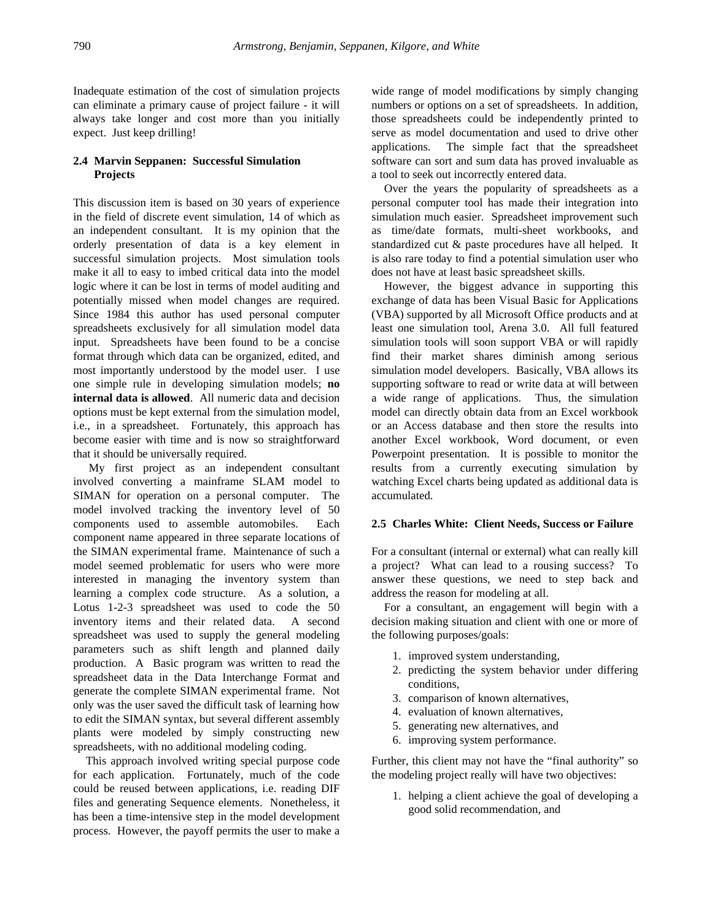Inadequate estimation of the cost of simulation projects can eliminate a primary cause of project failure - it will always take longer and cost more than you initially expect. Just keep drilling!

# **2.4 Marvin Seppanen: Successful Simulation Projects**

This discussion item is based on 30 years of experience in the field of discrete event simulation, 14 of which as an independent consultant. It is my opinion that the orderly presentation of data is a key element in successful simulation projects. Most simulation tools make it all to easy to imbed critical data into the model logic where it can be lost in terms of model auditing and potentially missed when model changes are required. Since 1984 this author has used personal computer spreadsheets exclusively for all simulation model data input. Spreadsheets have been found to be a concise format through which data can be organized, edited, and most importantly understood by the model user. I use one simple rule in developing simulation models; **no internal data is allowed**. All numeric data and decision options must be kept external from the simulation model, i.e., in a spreadsheet. Fortunately, this approach has become easier with time and is now so straightforward that it should be universally required.

 My first project as an independent consultant involved converting a mainframe SLAM model to SIMAN for operation on a personal computer. The model involved tracking the inventory level of 50 components used to assemble automobiles. Each component name appeared in three separate locations of the SIMAN experimental frame. Maintenance of such a model seemed problematic for users who were more interested in managing the inventory system than learning a complex code structure. As a solution, a Lotus 1-2-3 spreadsheet was used to code the 50 inventory items and their related data. A second spreadsheet was used to supply the general modeling parameters such as shift length and planned daily production. A Basic program was written to read the spreadsheet data in the Data Interchange Format and generate the complete SIMAN experimental frame. Not only was the user saved the difficult task of learning how to edit the SIMAN syntax, but several different assembly plants were modeled by simply constructing new spreadsheets, with no additional modeling coding.

This approach involved writing special purpose code for each application. Fortunately, much of the code could be reused between applications, i.e. reading DIF files and generating Sequence elements. Nonetheless, it has been a time-intensive step in the model development process. However, the payoff permits the user to make a

wide range of model modifications by simply changing numbers or options on a set of spreadsheets. In addition, those spreadsheets could be independently printed to serve as model documentation and used to drive other applications. The simple fact that the spreadsheet software can sort and sum data has proved invaluable as a tool to seek out incorrectly entered data.

Over the years the popularity of spreadsheets as a personal computer tool has made their integration into simulation much easier. Spreadsheet improvement such as time/date formats, multi-sheet workbooks, and standardized cut & paste procedures have all helped. It is also rare today to find a potential simulation user who does not have at least basic spreadsheet skills.

However, the biggest advance in supporting this exchange of data has been Visual Basic for Applications (VBA) supported by all Microsoft Office products and at least one simulation tool, Arena 3.0. All full featured simulation tools will soon support VBA or will rapidly find their market shares diminish among serious simulation model developers. Basically, VBA allows its supporting software to read or write data at will between a wide range of applications. Thus, the simulation model can directly obtain data from an Excel workbook or an Access database and then store the results into another Excel workbook, Word document, or even Powerpoint presentation. It is possible to monitor the results from a currently executing simulation by watching Excel charts being updated as additional data is accumulated.

#### **2.5 Charles White: Client Needs, Success or Failure**

For a consultant (internal or external) what can really kill a project? What can lead to a rousing success? To answer these questions, we need to step back and address the reason for modeling at all.

For a consultant, an engagement will begin with a decision making situation and client with one or more of the following purposes/goals:

- 1. improved system understanding,
- 2. predicting the system behavior under differing conditions,
- 3. comparison of known alternatives,
- 4. evaluation of known alternatives,
- 5. generating new alternatives, and
- 6. improving system performance.

Further, this client may not have the "final authority" so the modeling project really will have two objectives:

1. helping a client achieve the goal of developing a good solid recommendation, and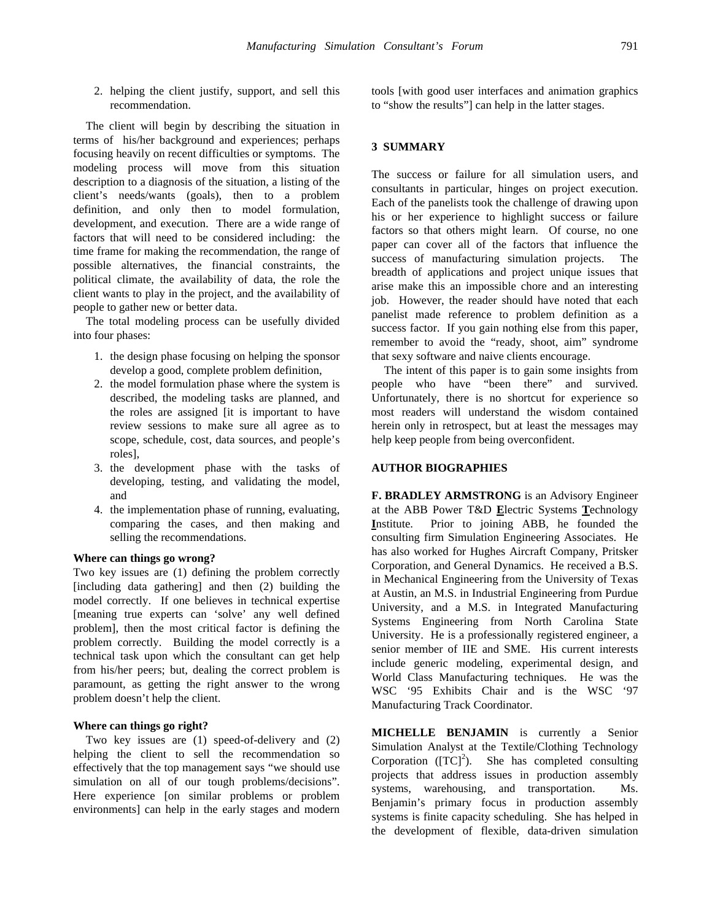2. helping the client justify, support, and sell this recommendation.

The client will begin by describing the situation in terms of his/her background and experiences; perhaps focusing heavily on recent difficulties or symptoms. The modeling process will move from this situation description to a diagnosis of the situation, a listing of the client's needs/wants (goals), then to a problem definition, and only then to model formulation, development, and execution. There are a wide range of factors that will need to be considered including: the time frame for making the recommendation, the range of possible alternatives, the financial constraints, the political climate, the availability of data, the role the client wants to play in the project, and the availability of people to gather new or better data.

The total modeling process can be usefully divided into four phases:

- 1. the design phase focusing on helping the sponsor develop a good, complete problem definition,
- 2. the model formulation phase where the system is described, the modeling tasks are planned, and the roles are assigned [it is important to have review sessions to make sure all agree as to scope, schedule, cost, data sources, and people's roles],
- 3. the development phase with the tasks of developing, testing, and validating the model, and
- 4. the implementation phase of running, evaluating, comparing the cases, and then making and selling the recommendations.

#### **Where can things go wrong?**

Two key issues are (1) defining the problem correctly [including data gathering] and then (2) building the model correctly. If one believes in technical expertise [meaning true experts can 'solve' any well defined problem], then the most critical factor is defining the problem correctly. Building the model correctly is a technical task upon which the consultant can get help from his/her peers; but, dealing the correct problem is paramount, as getting the right answer to the wrong problem doesn't help the client.

#### **Where can things go right?**

Two key issues are (1) speed-of-delivery and (2) helping the client to sell the recommendation so effectively that the top management says "we should use simulation on all of our tough problems/decisions". Here experience [on similar problems or problem environments] can help in the early stages and modern tools [with good user interfaces and animation graphics to "show the results"] can help in the latter stages.

# **3 SUMMARY**

The success or failure for all simulation users, and consultants in particular, hinges on project execution. Each of the panelists took the challenge of drawing upon his or her experience to highlight success or failure factors so that others might learn. Of course, no one paper can cover all of the factors that influence the success of manufacturing simulation projects. The breadth of applications and project unique issues that arise make this an impossible chore and an interesting job. However, the reader should have noted that each panelist made reference to problem definition as a success factor. If you gain nothing else from this paper, remember to avoid the "ready, shoot, aim" syndrome that sexy software and naive clients encourage.

The intent of this paper is to gain some insights from people who have "been there" and survived. Unfortunately, there is no shortcut for experience so most readers will understand the wisdom contained herein only in retrospect, but at least the messages may help keep people from being overconfident.

## **AUTHOR BIOGRAPHIES**

**F. BRADLEY ARMSTRONG** is an Advisory Engineer at the ABB Power T&D **E**lectric Systems **T**echnology **I**nstitute. Prior to joining ABB, he founded the consulting firm Simulation Engineering Associates. He has also worked for Hughes Aircraft Company, Pritsker Corporation, and General Dynamics. He received a B.S. in Mechanical Engineering from the University of Texas at Austin, an M.S. in Industrial Engineering from Purdue University, and a M.S. in Integrated Manufacturing Systems Engineering from North Carolina State University. He is a professionally registered engineer, a senior member of IIE and SME. His current interests include generic modeling, experimental design, and World Class Manufacturing techniques. He was the WSC '95 Exhibits Chair and is the WSC '97 Manufacturing Track Coordinator.

**MICHELLE BENJAMIN** is currently a Senior Simulation Analyst at the Textile/Clothing Technology Corporation  $( [TC]^2 )$ . She has completed consulting projects that address issues in production assembly systems, warehousing, and transportation. Ms. Benjamin's primary focus in production assembly systems is finite capacity scheduling. She has helped in the development of flexible, data-driven simulation